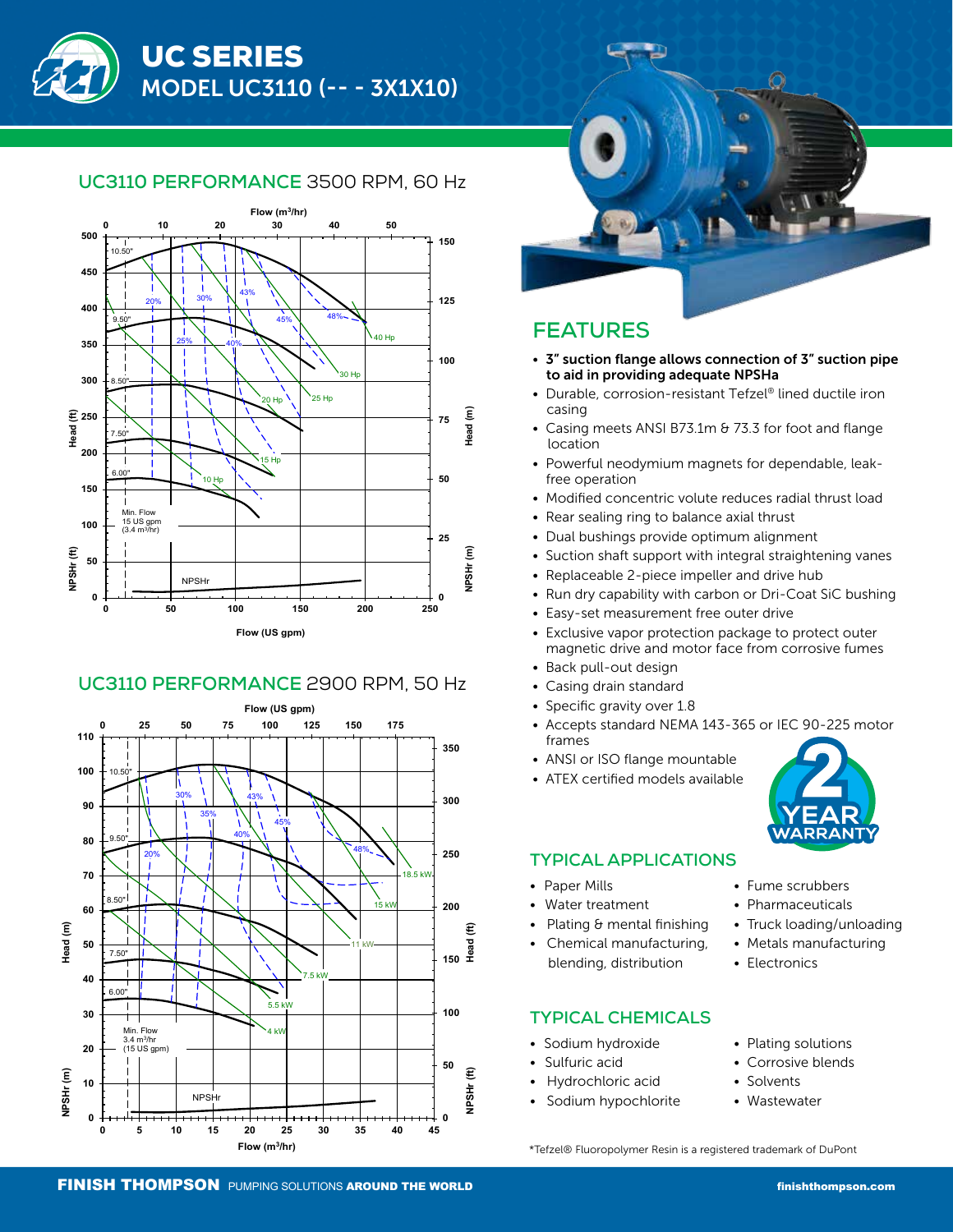# UC3110 PERFORMANCE 3500 RPM, 60 Hz

**STANDARD PERFORMANCE** 



#### UC3110 PERFORMANCE 2900 RPM, 50 Hz **Discharge: 1" Flange**





# **FEATURES**

- 3" suction flange allows connection of 3" suction pipe to aid in providing adequate NPSHa
- Durable, corrosion-resistant Tefzel® lined ductile iron casing
- Casing meets ANSI B73.1m & 73.3 for foot and flange location
- Powerful neodymium magnets for dependable, leak free operation
- Modified concentric volute reduces radial thrust load
- Rear sealing ring to balance axial thrust
- Dual bushings provide optimum alignment
- Suction shaft support with integral straightening vanes
- Replaceable 2-piece impeller and drive hub
- Run dry capability with carbon or Dri-Coat SiC bushing
- Easy-set measurement free outer drive
- Exclusive vapor protection package to protect outer magnetic drive and motor face from corrosive fumes
- Back pull-out design
- Casing drain standard
- Specific gravity over 1.8
- Accepts standard NEMA 143-365 or IEC 90-225 motor frames
- ANSI or ISO flange mountable
- ATEX certified models available



#### **TYPICAL APPLICATIONS**

- Paper Mills
- Water treatment
- Plating & mental finishing
- Chemical manufacturing, blending, distribution

### **TYPICAL CHEMICALS**

- Sodium hydroxide
- Sulfuric acid
- Hydrochloric acid
- Sodium hypochlorite
- Fume scrubbers
- Pharmaceuticals
- Truck loading/unloading
- Metals manufacturing
- Electronics
- Plating solutions
- Corrosive blends
- Solvents
	- **Wastewater**

\*Tefzel® Fluoropolymer Resin is a registered trademark of DuPont